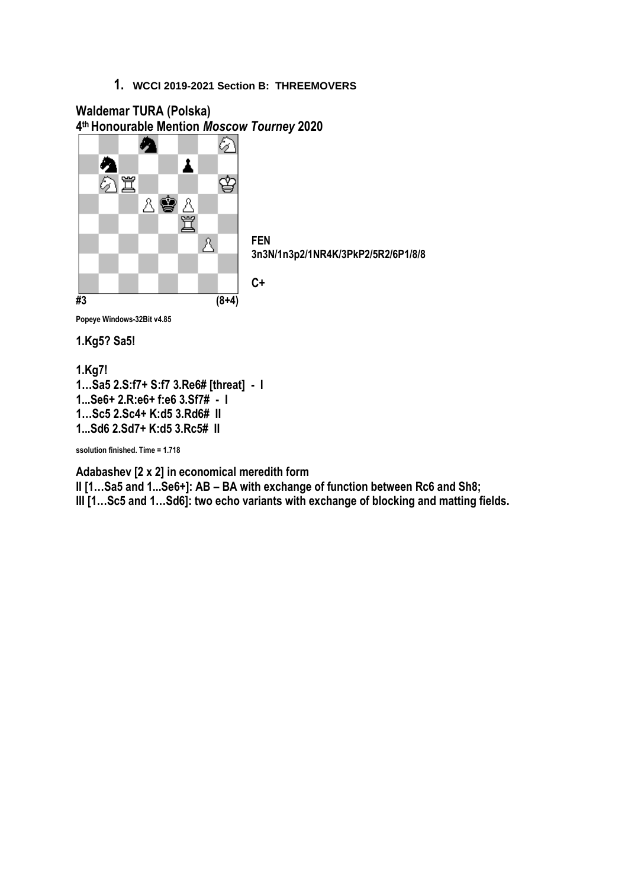

**Popeye Windows-32Bit v4.85**

**1.Kg5? Sa5!**

#### **1.Kg7!**

**1…Sa5 2.S:f7+ S:f7 3.Re6# [threat] - I 1...Se6+ 2.R:e6+ f:e6 3.Sf7# - I 1…Sc5 2.Sc4+ K:d5 3.Rd6# II 1...Sd6 2.Sd7+ K:d5 3.Rc5# II**

**ssolution finished. Time = 1.718**

**Adabashev [2 x 2] in economical meredith form**

**II [1…Sa5 and 1...Se6+]: AB – BA with exchange of function between Rc6 and Sh8; III [1…Sc5 and 1…Sd6]: two echo variants with exchange of blocking and matting fields.**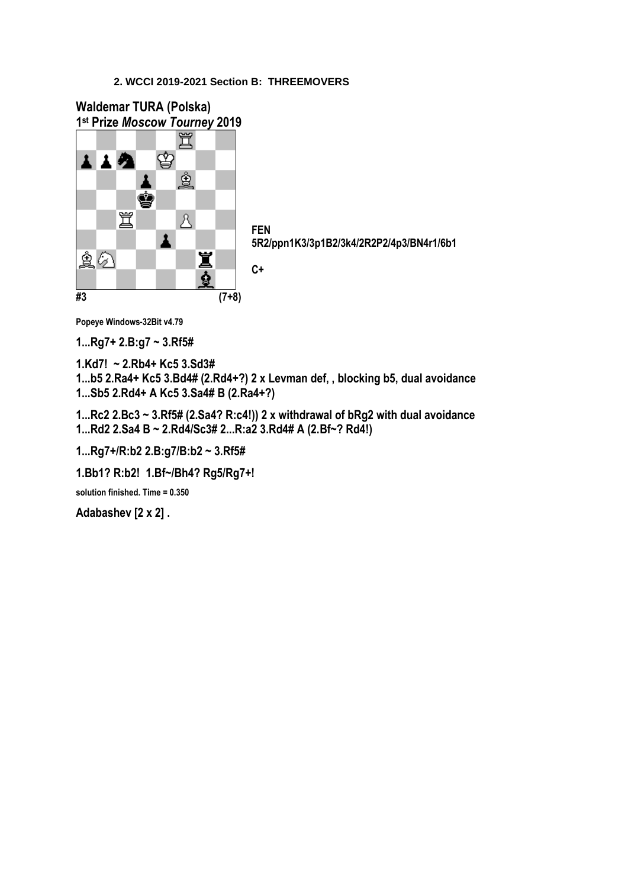**Waldemar TURA (Polska) 1 st Prize** *Moscow Tourney* **2019** ♔ 主主教 ĝ ġ 罝  $\Delta$ **FEN**  $\overline{\mathbf{A}}$ Ï 鱼の **C+**ė **#3 (7+8)**

**5R2/ppn1K3/3p1B2/3k4/2R2P2/4p3/BN4r1/6b1**

**Popeye Windows-32Bit v4.79**

**1...Rg7+ 2.B:g7 ~ 3.Rf5#**

**1.Kd7! ~ 2.Rb4+ Kc5 3.Sd3#**

**1...b5 2.Ra4+ Kc5 3.Bd4# (2.Rd4+?) 2 x Levman def, , blocking b5, dual avoidance 1...Sb5 2.Rd4+ A Kc5 3.Sa4# B (2.Ra4+?)** 

**1...Rc2 2.Bc3 ~ 3.Rf5# (2.Sa4? R:c4!)) 2 x withdrawal of bRg2 with dual avoidance 1...Rd2 2.Sa4 B ~ 2.Rd4/Sc3# 2...R:a2 3.Rd4# A (2.Bf~? Rd4!)**

**1...Rg7+/R:b2 2.B:g7/B:b2 ~ 3.Rf5#**

**1.Bb1? R:b2! 1.Bf~/Bh4? Rg5/Rg7+!**

**solution finished. Time = 0.350**

**Adabashev [2 x 2] .**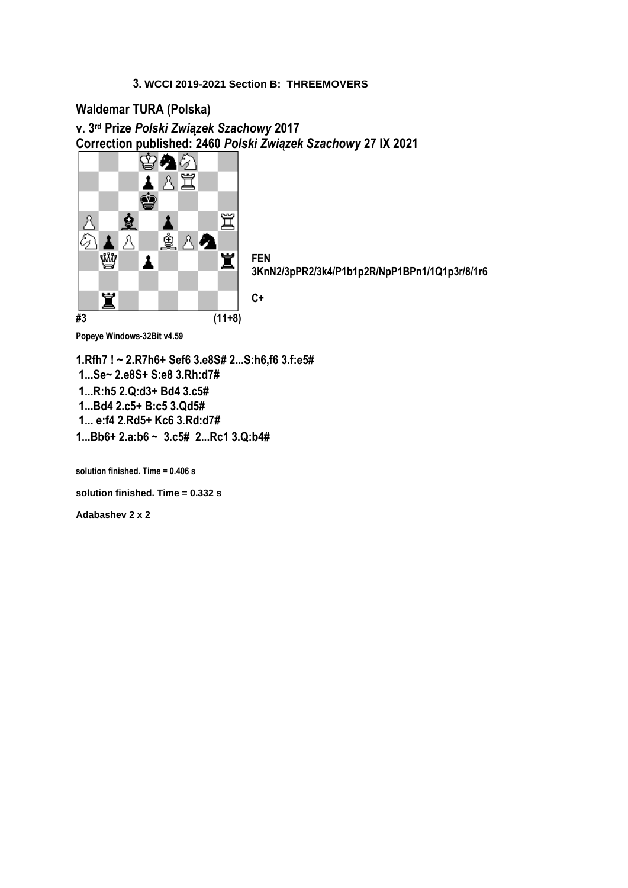# **Waldemar TURA (Polska)**

**v. 3 rd Prize** *Polski Związek Szachowy* **2017 Correction published: 2460** *Polski Związek Szachowy* **27 IX 2021**

**C+**



**FEN 3KnN2/3pPR2/3k4/P1b1p2R/NpP1BPn1/1Q1p3r/8/1r6**

**Popeye Windows-32Bit v4.59** 

**1.Rfh7 ! ~ 2.R7h6+ Sef6 3.e8S# 2...S:h6,f6 3.f:e5# 1...Se~ 2.e8S+ S:e8 3.Rh:d7# 1...R:h5 2.Q:d3+ Bd4 3.c5# 1...Bd4 2.c5+ B:c5 3.Qd5# 1... e:f4 2.Rd5+ Kc6 3.Rd:d7# 1...Bb6+ 2.a:b6 ~ 3.c5# 2...Rc1 3.Q:b4#**

**solution finished. Time = 0.406 s**

**solution finished. Time = 0.332 s**

**Adabashev 2 x 2**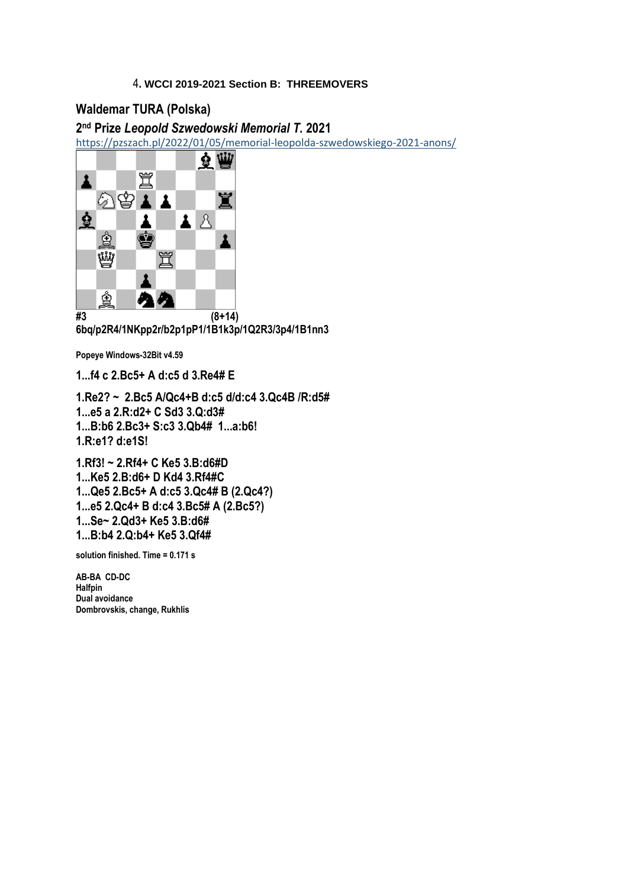# **Waldemar TURA (Polska)**

## **2 nd Prize** *Leopold Szwedowski Memorial T.* **2021**

<https://pzszach.pl/2022/01/05/memorial-leopolda-szwedowskiego-2021-anons/>



**6bq/p2R4/1NKpp2r/b2p1pP1/1B1k3p/1Q2R3/3p4/1B1nn3**

**Popeye Windows-32Bit v4.59** 

**1...f4 c 2.Bc5+ A d:c5 d 3.Re4# E**

**1.Re2? ~ 2.Bc5 A/Qc4+B d:c5 d/d:c4 3.Qc4B /R:d5# 1...e5 a 2.R:d2+ C Sd3 3.Q:d3# 1...B:b6 2.Bc3+ S:c3 3.Qb4# 1...a:b6! 1.R:e1? d:e1S!**

**1.Rf3! ~ 2.Rf4+ C Ke5 3.B:d6#D 1...Ke5 2.B:d6+ D Kd4 3.Rf4#C 1...Qe5 2.Bc5+ A d:c5 3.Qc4# B (2.Qc4?) 1...e5 2.Qc4+ B d:c4 3.Bc5# A (2.Bc5?) 1...Se~ 2.Qd3+ Ke5 3.B:d6# 1...B:b4 2.Q:b4+ Ke5 3.Qf4#**

**solution finished. Time = 0.171 s**

**AB-BA CD-DC Halfpin Dual avoidance Dombrovskis, change, Rukhlis**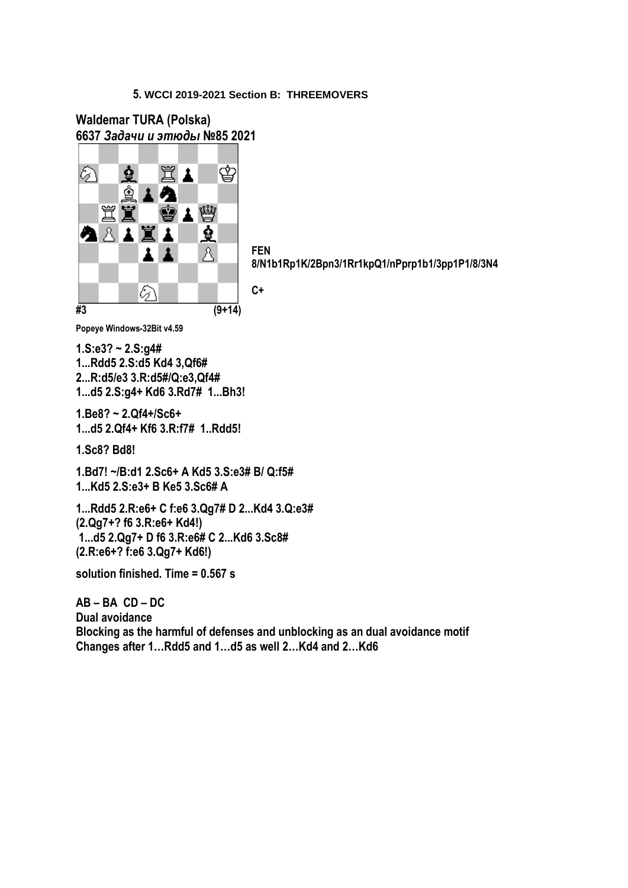## **Waldemar TURA (Polska) 6637** *Задачи и этюды* **№85 2021**



**FEN 8/N1b1Rp1K/2Bpn3/1Rr1kpQ1/nPprp1b1/3pp1P1/8/3N4**

**C+**

**Popeye Windows-32Bit v4.59** 

**1.S:e3? ~ 2.S:g4# 1...Rdd5 2.S:d5 Kd4 3,Qf6# 2...R:d5/e3 3.R:d5#/Q:e3,Qf4# 1...d5 2.S:g4+ Kd6 3.Rd7# 1...Bh3!**

**1.Be8? ~ 2.Qf4+/Sc6+ 1...d5 2.Qf4+ Kf6 3.R:f7# 1..Rdd5!**

**1.Sc8? Bd8!**

**1.Bd7! ~/B:d1 2.Sc6+ A Kd5 3.S:e3# B/ Q:f5# 1...Kd5 2.S:e3+ B Ke5 3.Sc6# A**

**1...Rdd5 2.R:e6+ C f:e6 3.Qg7# D 2...Kd4 3.Q:e3# (2.Qg7+? f6 3.R:e6+ Kd4!) 1...d5 2.Qg7+ D f6 3.R:e6# C 2...Kd6 3.Sc8# (2.R:e6+? f:e6 3.Qg7+ Kd6!)**

**solution finished. Time = 0.567 s**

**AB – BA CD – DC Dual avoidance Blocking as the harmful of defenses and unblocking as an dual avoidance motif Changes after 1…Rdd5 and 1…d5 as well 2…Kd4 and 2…Kd6**